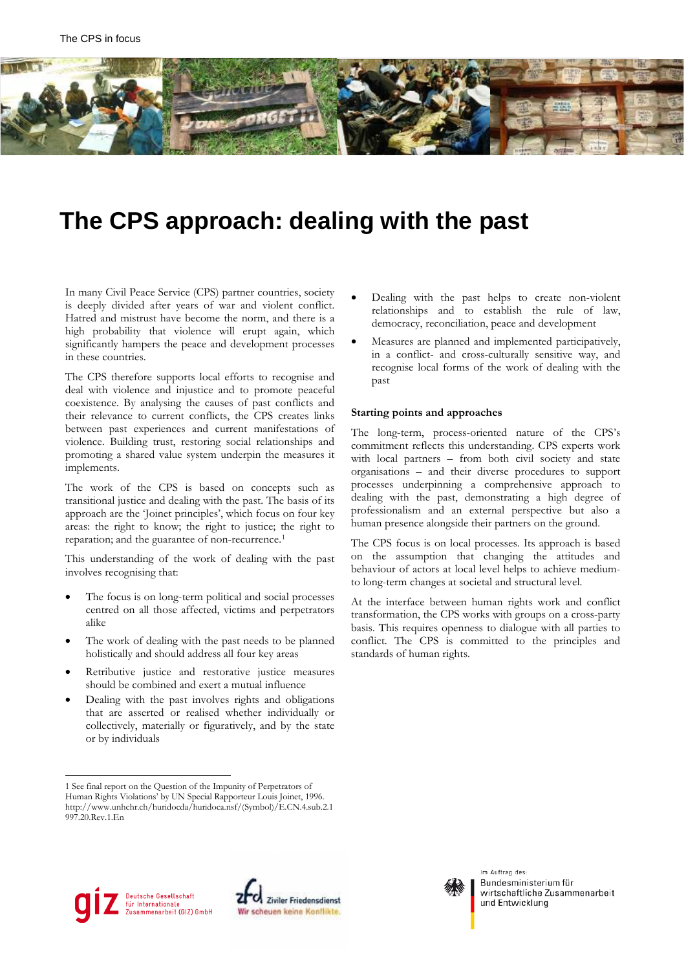

# **The CPS approach: dealing with the past**

In many Civil Peace Service (CPS) partner countries, society is deeply divided after years of war and violent conflict. Hatred and mistrust have become the norm, and there is a high probability that violence will erupt again, which significantly hampers the peace and development processes in these countries.

The CPS therefore supports local efforts to recognise and deal with violence and injustice and to promote peaceful coexistence. By analysing the causes of past conflicts and their relevance to current conflicts, the CPS creates links between past experiences and current manifestations of violence. Building trust, restoring social relationships and promoting a shared value system underpin the measures it implements.

The work of the CPS is based on concepts such as transitional justice and dealing with the past. The basis of its approach are the 'Joinet principles', which focus on four key areas: the right to know; the right to justice; the right to reparation; and the guarantee of non-recurrence.<sup>[1](#page-0-0)</sup>

This understanding of the work of dealing with the past involves recognising that:

- The focus is on long-term political and social processes centred on all those affected, victims and perpetrators alike
- The work of dealing with the past needs to be planned holistically and should address all four key areas
- Retributive justice and restorative justice measures should be combined and exert a mutual influence
- Dealing with the past involves rights and obligations that are asserted or realised whether individually or collectively, materially or figuratively, and by the state or by individuals
- Dealing with the past helps to create non-violent relationships and to establish the rule of law, democracy, reconciliation, peace and development
- Measures are planned and implemented participatively, in a conflict- and cross-culturally sensitive way, and recognise local forms of the work of dealing with the past

#### **Starting points and approaches**

The long-term, process-oriented nature of the CPS's commitment reflects this understanding. CPS experts work with local partners – from both civil society and state organisations – and their diverse procedures to support processes underpinning a comprehensive approach to dealing with the past, demonstrating a high degree of professionalism and an external perspective but also a human presence alongside their partners on the ground.

The CPS focus is on local processes. Its approach is based on the assumption that changing the attitudes and behaviour of actors at local level helps to achieve mediumto long-term changes at societal and structural level.

At the interface between human rights work and conflict transformation, the CPS works with groups on a cross-party basis. This requires openness to dialogue with all parties to conflict. The CPS is committed to the principles and standards of human rights.







Im Auftrag des: Bundesministerium für wirtschaftliche Zusammenarbeit und Entwicklung

<span id="page-0-0"></span> <sup>1</sup> See final report on the Question of the Impunity of Perpetrators of Human Rights Violations' by UN Special Rapporteur Louis Joinet, 1996. [http://www.unhchr.ch/huridocda/huridoca.nsf/\(Symbol\)/E.CN.4.sub.2.1](http://www.unhchr.ch/huridocda/huridoca.nsf/(Symbol)/E.CN.4.sub.2.1997.20.Rev.1.En) [997.20.Rev.1.En](http://www.unhchr.ch/huridocda/huridoca.nsf/(Symbol)/E.CN.4.sub.2.1997.20.Rev.1.En)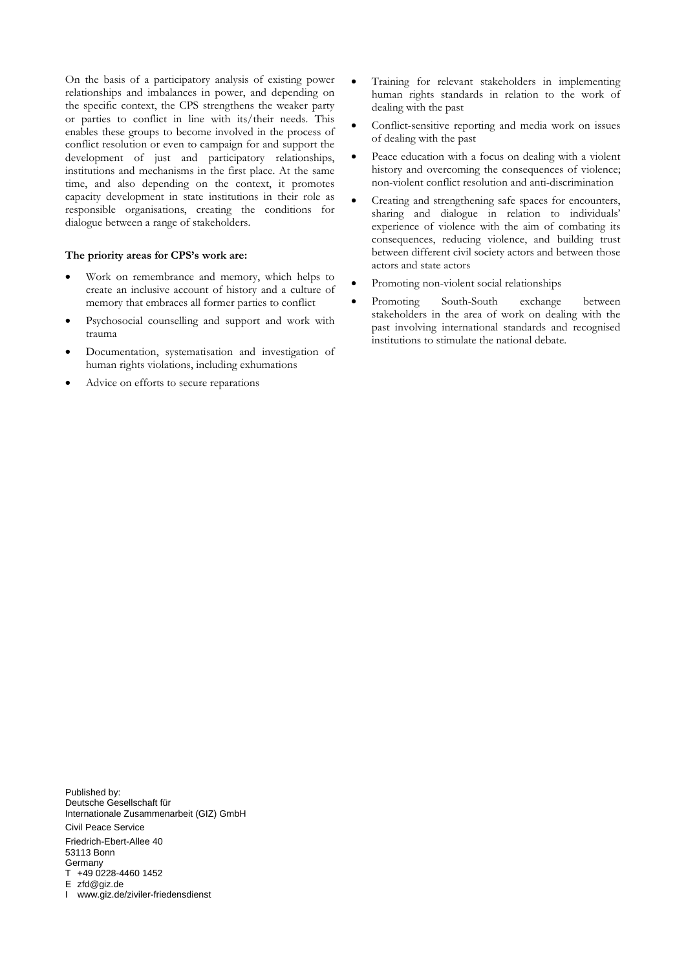On the basis of a participatory analysis of existing power relationships and imbalances in power, and depending on the specific context, the CPS strengthens the weaker party or parties to conflict in line with its/their needs. This enables these groups to become involved in the process of conflict resolution or even to campaign for and support the development of just and participatory relationships, institutions and mechanisms in the first place. At the same time, and also depending on the context, it promotes capacity development in state institutions in their role as responsible organisations, creating the conditions for dialogue between a range of stakeholders.

#### **The priority areas for CPS's work are:**

- Work on remembrance and memory, which helps to create an inclusive account of history and a culture of memory that embraces all former parties to conflict
- Psychosocial counselling and support and work with trauma
- Documentation, systematisation and investigation of human rights violations, including exhumations
- Advice on efforts to secure reparations
- Training for relevant stakeholders in implementing human rights standards in relation to the work of dealing with the past
- Conflict-sensitive reporting and media work on issues of dealing with the past
- Peace education with a focus on dealing with a violent history and overcoming the consequences of violence; non-violent conflict resolution and anti-discrimination
- Creating and strengthening safe spaces for encounters, sharing and dialogue in relation to individuals' experience of violence with the aim of combating its consequences, reducing violence, and building trust between different civil society actors and between those actors and state actors
- Promoting non-violent social relationships
- Promoting South-South exchange between stakeholders in the area of work on dealing with the past involving international standards and recognised institutions to stimulate the national debate.

Published by: Deutsche Gesellschaft für Internationale Zusammenarbeit (GIZ) GmbH Civil Peace Service Friedrich-Ebert-Allee 40 53113 Bonn **Germany** T +49 0228-4460 1452 E zfd@giz.de I www.giz.de/ziviler-friedensdienst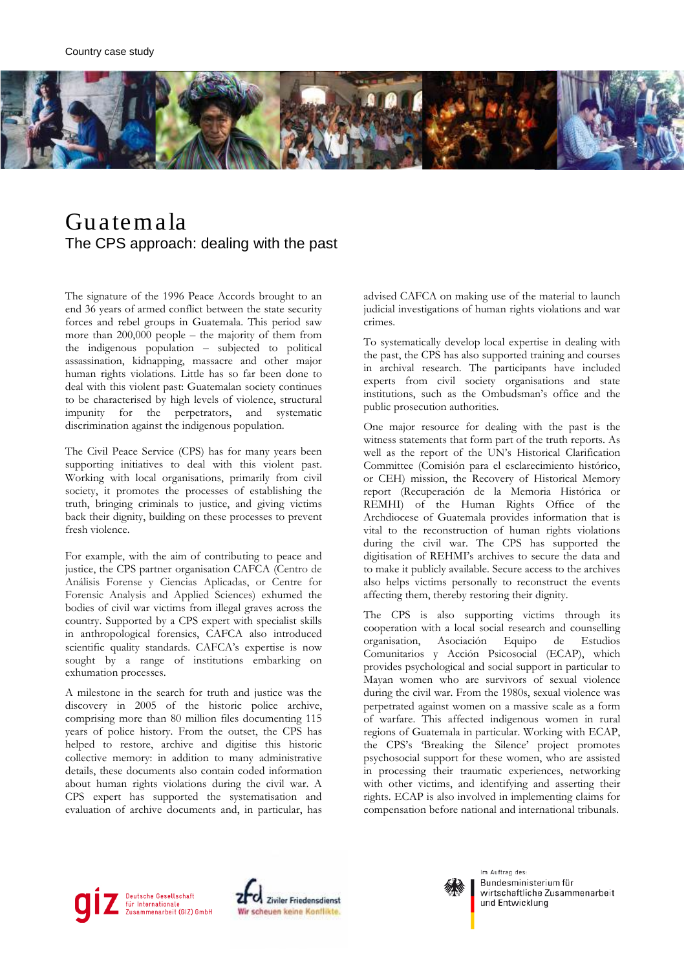

### Guatemala The CPS approach: dealing with the past

The signature of the 1996 Peace Accords brought to an end 36 years of armed conflict between the state security forces and rebel groups in Guatemala. This period saw more than 200,000 people – the majority of them from the indigenous population – subjected to political assassination, kidnapping, massacre and other major human rights violations. Little has so far been done to deal with this violent past: Guatemalan society continues to be characterised by high levels of violence, structural impunity for the perpetrators, and systematic discrimination against the indigenous population.

The Civil Peace Service (CPS) has for many years been supporting initiatives to deal with this violent past. Working with local organisations, primarily from civil society, it promotes the processes of establishing the truth, bringing criminals to justice, and giving victims back their dignity, building on these processes to prevent fresh violence.

For example, with the aim of contributing to peace and justice, the CPS partner organisation CAFCA (Centro de Análisis Forense y Ciencias Aplicadas, or Centre for Forensic Analysis and Applied Sciences) exhumed the bodies of civil war victims from illegal graves across the country. Supported by a CPS expert with specialist skills in anthropological forensics, CAFCA also introduced scientific quality standards. CAFCA's expertise is now sought by a range of institutions embarking on exhumation processes.

A milestone in the search for truth and justice was the discovery in 2005 of the historic police archive, comprising more than 80 million files documenting 115 years of police history. From the outset, the CPS has helped to restore, archive and digitise this historic collective memory: in addition to many administrative details, these documents also contain coded information about human rights violations during the civil war. A CPS expert has supported the systematisation and evaluation of archive documents and, in particular, has advised CAFCA on making use of the material to launch judicial investigations of human rights violations and war crimes.

To systematically develop local expertise in dealing with the past, the CPS has also supported training and courses in archival research. The participants have included experts from civil society organisations and state institutions, such as the Ombudsman's office and the public prosecution authorities.

One major resource for dealing with the past is the witness statements that form part of the truth reports. As well as the report of the UN's Historical Clarification Committee (Comisión para el esclarecimiento histórico, or CEH) mission, the Recovery of Historical Memory report (Recuperación de la Memoria Histórica or REMHI) of the Human Rights Office of the Archdiocese of Guatemala provides information that is vital to the reconstruction of human rights violations during the civil war. The CPS has supported the digitisation of REHMI's archives to secure the data and to make it publicly available. Secure access to the archives also helps victims personally to reconstruct the events affecting them, thereby restoring their dignity.

The CPS is also supporting victims through its cooperation with a local social research and counselling organisation, Asociación Equipo de Estudios Comunitarios y Acción Psicosocial (ECAP), which provides psychological and social support in particular to Mayan women who are survivors of sexual violence during the civil war. From the 1980s, sexual violence was perpetrated against women on a massive scale as a form of warfare. This affected indigenous women in rural regions of Guatemala in particular. Working with ECAP, the CPS's 'Breaking the Silence' project promotes psychosocial support for these women, who are assisted in processing their traumatic experiences, networking with other victims, and identifying and asserting their rights. ECAP is also involved in implementing claims for compensation before national and international tribunals.





Im Auftrag des: Bundesministerium für wirtschaftliche Zusammenarbeit und Entwicklung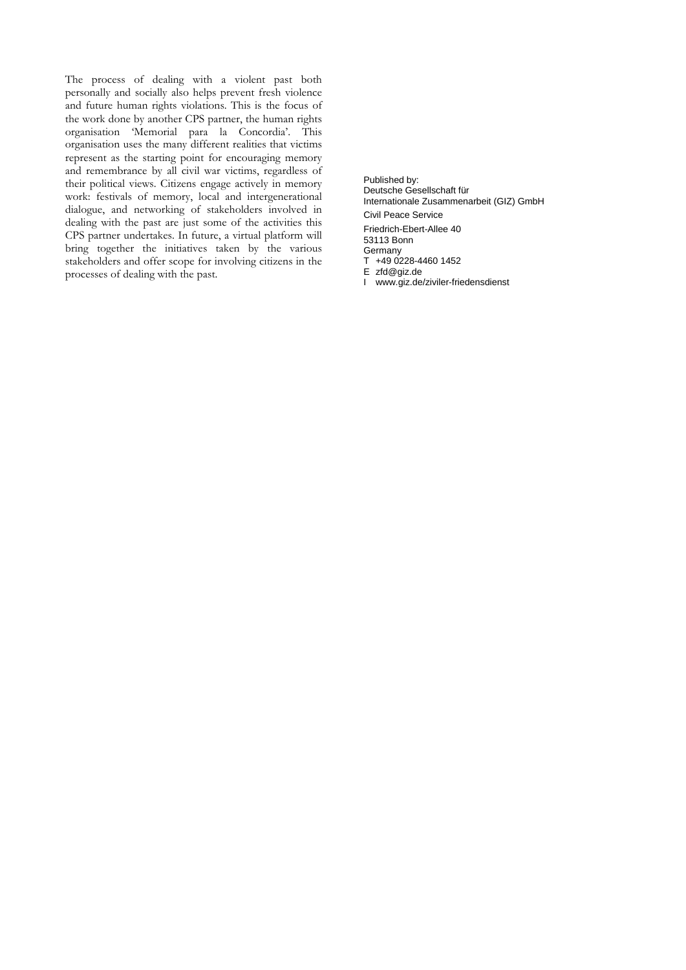The process of dealing with a violent past both personally and socially also helps prevent fresh violence and future human rights violations. This is the focus of the work done by another CPS partner, the human rights organisation 'Memorial para la Concordia'. This organisation uses the many different realities that victims represent as the starting point for encouraging memory and remembrance by all civil war victims, regardless of their political views. Citizens engage actively in memory work: festivals of memory, local and intergenerational dialogue, and networking of stakeholders involved in dealing with the past are just some of the activities this CPS partner undertakes. In future, a virtual platform will bring together the initiatives taken by the various stakeholders and offer scope for involving citizens in the processes of dealing with the past.

Published by: Deutsche Gesellschaft für Internationale Zusammenarbeit (GIZ) GmbH Civil Peace Service Friedrich-Ebert-Allee 40 53113 Bonn Germany T +49 0228-4460 1452 E zfd@giz.de

I www.giz.de/ziviler-friedensdienst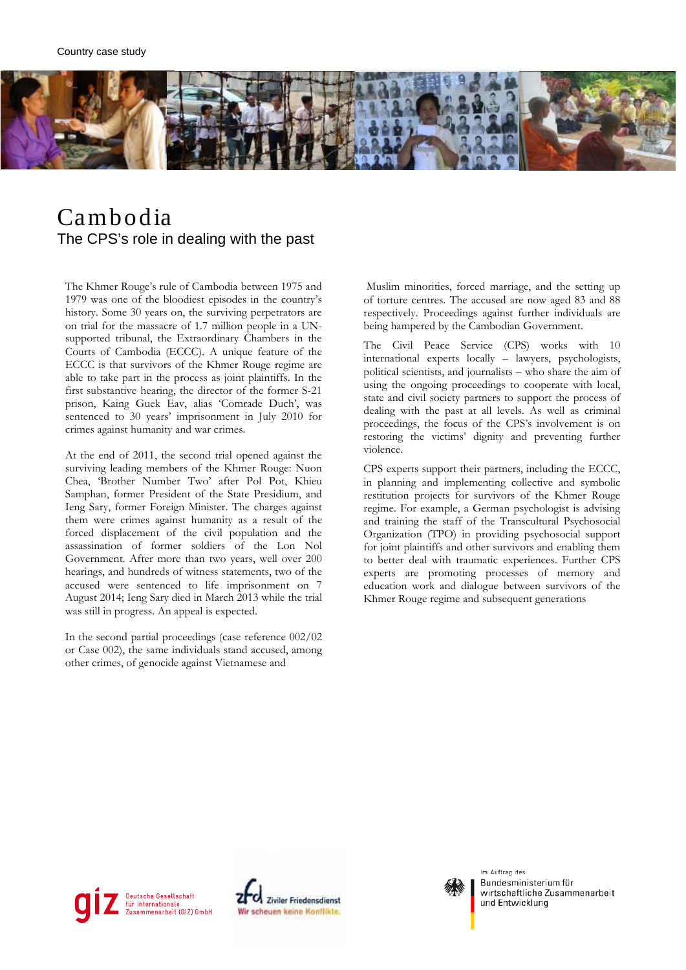

## Cambodia The CPS's role in dealing with the past

The Khmer Rouge's rule of Cambodia between 1975 and 1979 was one of the bloodiest episodes in the country's history. Some 30 years on, the surviving perpetrators are on trial for the massacre of 1.7 million people in a UNsupported tribunal, the Extraordinary Chambers in the Courts of Cambodia (ECCC). A unique feature of the ECCC is that survivors of the Khmer Rouge regime are able to take part in the process as joint plaintiffs. In the first substantive hearing, the director of the former S-21 prison, Kaing Guek Eav, alias 'Comrade Duch', was sentenced to 30 years' imprisonment in July 2010 for crimes against humanity and war crimes.

At the end of 2011, the second trial opened against the surviving leading members of the Khmer Rouge: Nuon Chea, 'Brother Number Two' after Pol Pot, Khieu Samphan, former President of the State Presidium, and Ieng Sary, former Foreign Minister. The charges against them were crimes against humanity as a result of the forced displacement of the civil population and the assassination of former soldiers of the Lon Nol Government. After more than two years, well over 200 hearings, and hundreds of witness statements, two of the accused were sentenced to life imprisonment on 7 August 2014; Ieng Sary died in March 2013 while the trial was still in progress. An appeal is expected.

In the second partial proceedings (case reference 002/02 or Case 002), the same individuals stand accused, among other crimes, of genocide against Vietnamese and

Muslim minorities, forced marriage, and the setting up of torture centres. The accused are now aged 83 and 88 respectively. Proceedings against further individuals are being hampered by the Cambodian Government.

The Civil Peace Service (CPS) works with 10 international experts locally – lawyers, psychologists, political scientists, and journalists – who share the aim of using the ongoing proceedings to cooperate with local, state and civil society partners to support the process of dealing with the past at all levels. As well as criminal proceedings, the focus of the CPS's involvement is on restoring the victims' dignity and preventing further violence.

CPS experts support their partners, including the ECCC, in planning and implementing collective and symbolic restitution projects for survivors of the Khmer Rouge regime. For example, a German psychologist is advising and training the staff of the Transcultural Psychosocial Organization (TPO) in providing psychosocial support for joint plaintiffs and other survivors and enabling them to better deal with traumatic experiences. Further CPS experts are promoting processes of memory and education work and dialogue between survivors of the Khmer Rouge regime and subsequent generations







Bundesministerium für wirtschaftliche Zusammenarbeit und Entwicklung

Im Auftrag des: